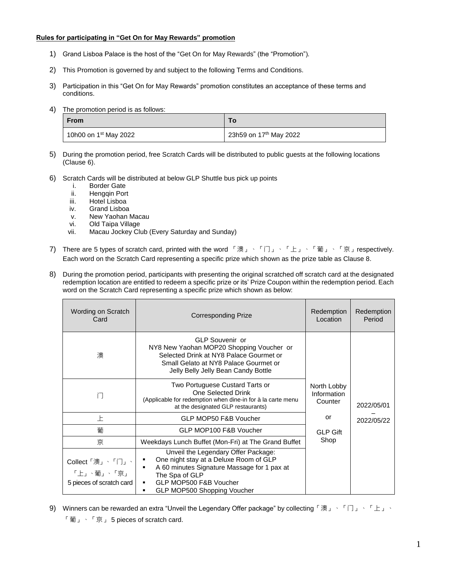#### **Rules for participating in "Get On for May Rewards" promotion**

- 1) Grand Lisboa Palace is the host of the "Get On for May Rewards" (the "Promotion").
- 2) This Promotion is governed by and subject to the following Terms and Conditions.
- 3) Participation in this "Get On for May Rewards" promotion constitutes an acceptance of these terms and conditions.
- 4) The promotion period is as follows:

| <b>From</b>                       | To.                                |
|-----------------------------------|------------------------------------|
| 10h00 on 1 <sup>st</sup> May 2022 | 23h59 on 17 <sup>th</sup> May 2022 |

- 5) During the promotion period, free Scratch Cards will be distributed to public guests at the following locations (Clause 6).
- 6) Scratch Cards will be distributed at below GLP Shuttle bus pick up points
	- i. Border Gate
	- ii. Hengqin Port
	- iii. Hotel Lisboa
	- iv. Grand Lisboa
	- v. New Yaohan Macau
	- vi. Old Taipa Village
	- vii. Macau Jockey Club (Every Saturday and Sunday)
- 7) There are 5 types of scratch card, printed with the word 「澳」、「门」、「上」、「葡」、「京」respectively. Each word on the Scratch Card representing a specific prize which shown as the prize table as Clause 8.
- 8) During the promotion period, participants with presenting the original scratched off scratch card at the designated redemption location are entitled to redeem a specific prize or its' Prize Coupon within the redemption period. Each word on the Scratch Card representing a specific prize which shown as below:

| Wording on Scratch<br>Card                                | <b>Corresponding Prize</b>                                                                                                                                                                                             | Redemption<br>Location                | Redemption<br>Period |
|-----------------------------------------------------------|------------------------------------------------------------------------------------------------------------------------------------------------------------------------------------------------------------------------|---------------------------------------|----------------------|
| 澳                                                         | GLP Souvenir or<br>NY8 New Yaohan MOP20 Shopping Voucher or<br>Selected Drink at NY8 Palace Gourmet or<br>Small Gelato at NY8 Palace Gourmet or<br>Jelly Belly Jelly Bean Candy Bottle                                 |                                       |                      |
| ìП                                                        | Two Portuguese Custard Tarts or<br>One Selected Drink<br>(Applicable for redemption when dine-in for à la carte menu<br>at the designated GLP restaurants)                                                             | North Lobby<br>Information<br>Counter | 2022/05/01           |
| 上                                                         | GLP MOP50 F&B Voucher                                                                                                                                                                                                  | or                                    | 2022/05/22           |
| 葡                                                         | GLP MOP100 F&B Voucher                                                                                                                                                                                                 | <b>GLP Gift</b>                       |                      |
| 京                                                         | Weekdays Lunch Buffet (Mon-Fri) at The Grand Buffet                                                                                                                                                                    | Shop                                  |                      |
| Collect「澳」、「门」、<br>「上」、葡」、「京」<br>5 pieces of scratch card | Unveil the Legendary Offer Package:<br>One night stay at a Deluxe Room of GLP<br>٠<br>A 60 minutes Signature Massage for 1 pax at<br>The Spa of GLP<br>GLP MOP500 F&B Voucher<br>٠<br>GLP MOP500 Shopping Voucher<br>٠ |                                       |                      |

9) Winners can be rewarded an extra "Unveil the Legendary Offer package" by collecting 「澳」、「门」、「上」、 「葡」、「京」 5 pieces of scratch card.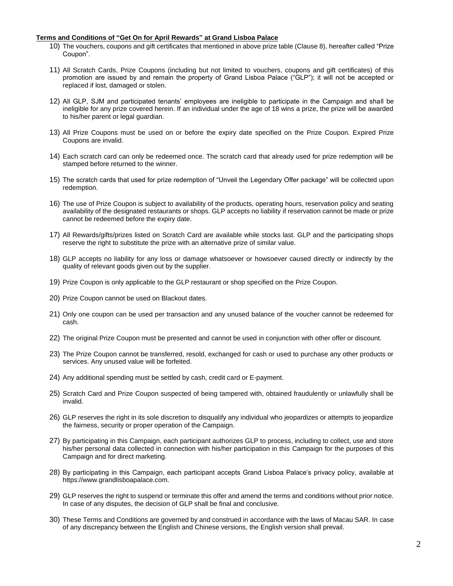#### **Terms and Conditions of "Get On for April Rewards" at Grand Lisboa Palace**

- 10) The vouchers, coupons and gift certificates that mentioned in above prize table (Clause 8), hereafter called "Prize Coupon".
- 11) All Scratch Cards, Prize Coupons (including but not limited to vouchers, coupons and gift certificates) of this promotion are issued by and remain the property of Grand Lisboa Palace ("GLP"); it will not be accepted or replaced if lost, damaged or stolen.
- 12) All GLP, SJM and participated tenants' employees are ineligible to participate in the Campaign and shall be ineligible for any prize covered herein. If an individual under the age of 18 wins a prize, the prize will be awarded to his/her parent or legal guardian.
- 13) All Prize Coupons must be used on or before the expiry date specified on the Prize Coupon. Expired Prize Coupons are invalid.
- 14) Each scratch card can only be redeemed once. The scratch card that already used for prize redemption will be stamped before returned to the winner.
- 15) The scratch cards that used for prize redemption of "Unveil the Legendary Offer package" will be collected upon redemption.
- 16) The use of Prize Coupon is subject to availability of the products, operating hours, reservation policy and seating availability of the designated restaurants or shops. GLP accepts no liability if reservation cannot be made or prize cannot be redeemed before the expiry date.
- 17) All Rewards/gifts/prizes listed on Scratch Card are available while stocks last. GLP and the participating shops reserve the right to substitute the prize with an alternative prize of similar value.
- 18) GLP accepts no liability for any loss or damage whatsoever or howsoever caused directly or indirectly by the quality of relevant goods given out by the supplier.
- 19) Prize Coupon is only applicable to the GLP restaurant or shop specified on the Prize Coupon.
- 20) Prize Coupon cannot be used on Blackout dates.
- 21) Only one coupon can be used per transaction and any unused balance of the voucher cannot be redeemed for cash.
- 22) The original Prize Coupon must be presented and cannot be used in conjunction with other offer or discount.
- 23) The Prize Coupon cannot be transferred, resold, exchanged for cash or used to purchase any other products or services. Any unused value will be forfeited.
- 24) Any additional spending must be settled by cash, credit card or E-payment.
- 25) Scratch Card and Prize Coupon suspected of being tampered with, obtained fraudulently or unlawfully shall be invalid.
- 26) GLP reserves the right in its sole discretion to disqualify any individual who jeopardizes or attempts to jeopardize the fairness, security or proper operation of the Campaign.
- 27) By participating in this Campaign, each participant authorizes GLP to process, including to collect, use and store his/her personal data collected in connection with his/her participation in this Campaign for the purposes of this Campaign and for direct marketing.
- 28) By participating in this Campaign, each participant accepts Grand Lisboa Palace's privacy policy, available at https://www.grandlisboapalace.com.
- 29) GLP reserves the right to suspend or terminate this offer and amend the terms and conditions without prior notice. In case of any disputes, the decision of GLP shall be final and conclusive.
- 30) These Terms and Conditions are governed by and construed in accordance with the laws of Macau SAR. In case of any discrepancy between the English and Chinese versions, the English version shall prevail.